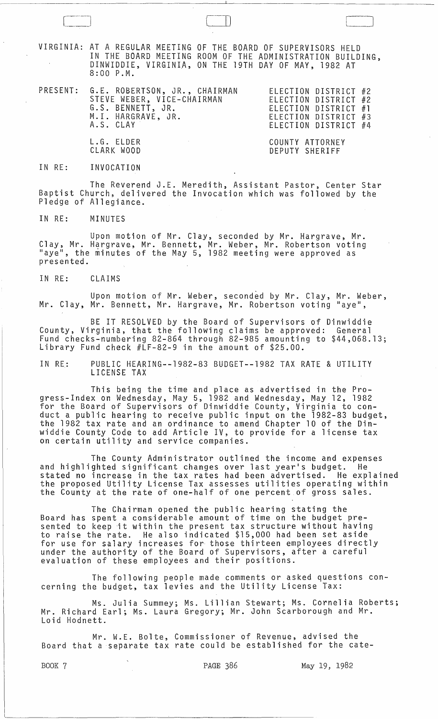VIRGINIA: AT A REGULAR MEETING OF THE BOARD OF SUPERVISORS HELD IN THE BOARD MEETING ROOM OF THE ADMINISTRATION BUILDING, DINWIDDIE, VIRGINIA, ON THE 19TH DAY OF MAY, 1982 AT 8:00 P.M.

 $\Box$ 

PRESENT: G.E. ROBERTSON, JR., CHAIRMAN STEVE WEBER, VICE-CHAIRMAN G.S. BENNETT, JR. ELECTION DISTRICT #2 ELECTION DISTRICT #2 ELECTION DISTRICT #1 ELECTION DISTRICT #3 ELECTION DISTRICT #4 M.I. HARGRAVE, JR. A.S. CLAY

> COUNTY ATTORNEY DEPUTY SHERIFF

### IN RE: INVOCATION

L.G. ELDER CLARK WOOD

The Reverend J.E. Meredith, Assistant Pastor, Center Star Baptist Church, delivered the Invocation which was followed by the Pledge of Allegiance.

IN RE: MINUTES

Upon motion of Mr. Clay, seconded by Mr. Hargrave, Mr. Clay, Mr. Hargrave, Mr. Bennett, Mr. Weber, Mr. Robertson voting<br>"aye", the minutes of the May 5, 1982 meeting were approved as presented.

IN RE: CLAIMS

Upon motion of Mr. Weber, seconded by Mr. Clay, Mr. Weber, Mr. Clay, Mr. Bennett, Mr. Hargrave, Mr. Robertson voting "aye",

BE IT RESOLVED by the Board of Supervisors of Dinwiddie County, Virginia, that the following claims be approved: General Fund checks-numbering 82-864 through 82-985 amounting to \$44,068.13; Library Fund check #LF-82-9 in the amount of \$25.00.

IN RE: PUBLIC HEARING--1982-83 BUDGET--1982 TAX RATE & UTILITY LICENSE TAX

This being the time and place as advertised in the Progress-Index on Wednesday, May 5, 1982 and Wednesday, May 12, 1982 for the Board of Supervisors of Dinwiddie County, Virginia to conduct a public hearing to receive public input on the 1982-83 budget, the 1982 tax rate and an ordinance to amend Chapter 10 of the Dinwiddie County Code to add Article IV, to provide for a license tax on certain utility and service companies.

The County Administrator outlined the income and expenses and highlighted significant changes over last year's budget. He stated no increase in the tax rates had been advertised. He explained<br>the proposed Utility License Tax assesses utilities operating within the County at the rate of one-half of one percent of gross sales.

The Chairman opened the public hearing stating the Board has spent a considerable amount of time on the budget presented to keep it within the present tax structure without having to raise the rate. He also indicated \$15,000 had been set aside for use for salary increases for those thirteen employees directly under the authority of the Board of Supervisors, after a careful evaluation of these employees and their positions.

The following people made comments or asked questions concerning the budget, tax levies and the Utility License Tax:

Ms. Julia Summey; Ms. Lillian Stewart; Ms. Cornelia Roberts; Mr. Richard Earl; Ms. Laura Gregory; Mr. John Scarborough and Mr. Loid Hodnett.

Mr. W.E. Bolte, Commissioner of Revenue, advised the Board that a separate tax rate could be established for the cate-

BOOK 7 PAGE 386 May 19, 1982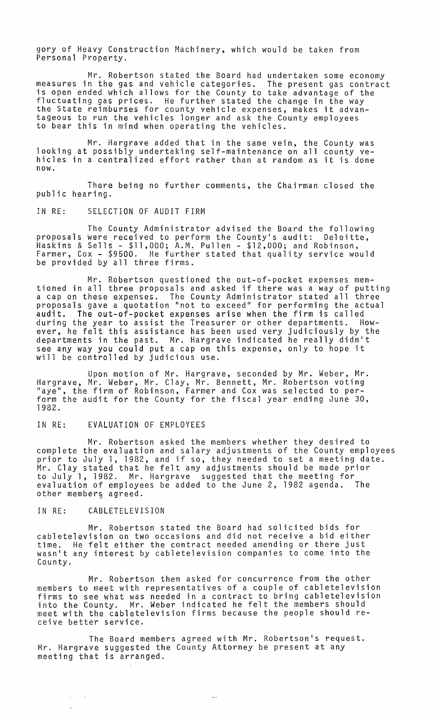gory of Heavy Construction Machinery, which would be taken from Personal Property.

Mr. Robertson stated the Board had undertaken some economy measures in the gas and vehicle categories. The present gas contract is open ended which allows for the County to take advantage of the fluctuating gas prices. He further stated the change in the way the State reimburses for county vehicle expenses, makes it advantageous to run the vehicles longer and ask the County employees to bear this in mind when operating the vehicles.

Mr. Hargrave added that in the same vein, the County was looking at possibly undertaking self-maintenance on all county vehicles in a centralized effort rather than at random as it is done now.

There being no further comments, the Chairman closed the public hearing.

### IN RE: SELECTION OF AUDIT FIRM

The County Administrator advised the Board the following proposals were received to perform the County's audit: Deloitte, Haskins & Sells - \$11,000; A.M. Pullen - \$12,000; and Robinson, Farmer, Cox - \$9500. He further stated that quality service would be provided by all three firms.

Mr. Robertson questioned the out-of-pocket expenses mentioned in all three proposals and asked if there was a way of putting a cap on these expenses. The County Administrator stated all three proposals gave a quotation "not to exceed" for performing the actual audit. The out-of-pocket expenses arise when the firm is called during the year to assist the Treasurer or other departments. However, he felt this assistance has been used very judiciously by the departments in the past. Mr. Hargrave indicated he really didn't see any way you could put a cap on this expense, only to hope it will be controlled by judicious use.

Upon motion of Mr. Hargrave, seconded by Mr. Weber, Mr. Hargrave, Mr. Weber, Mr. Clay, Mr. Bennett, Mr. Robertson voting "aye", the firm of Robinson, Farmer and Cox was selected to perform the audit for the County for the fiscal year ending June 30, 1982.

# IN RE: EVALUATION OF EMPLOYEES

Mr. Robertson asked the members whether they desired to complete the evaluation and salary adjustments of the County employees prior to July 1, 1982, and if so, they needed to set a meeting date. Mr. Clay stated that he felt any adjustments should be made prior to July 1, 1982. Mr. Hargrave suggested that the meeting for evaluation of employees be added to the June 2, 1982 agenda. The other members agreed.

### IN RE: CABLETELEVISION

 $\mathcal{L}_{\mathcal{A}}$  $\sim 10^{-1}$  $\mathcal{L}_{\mathcal{A}}$ 

Mr. Robertson stated the Board had solicited bids for cabletelevision on two occasions and did not receive a bid either time. He felt either the contract needed amending or there just wasn't any interest by cabletelevision companies to come into the County.

Mr. Robertson then asked for concurrence from the other members to meet with representatives of a couple of cabletelevision firms to see what was needed in a contract to bring cabletelevision into the County. Mr. Weber indicated he felt the members should meet with the cabletelevision firms because the people should receive better service.

The Board members agreed with Mr. Robertson's request. Mr. Hargrave suggested the County Attorney be present at any meeting that is arranged.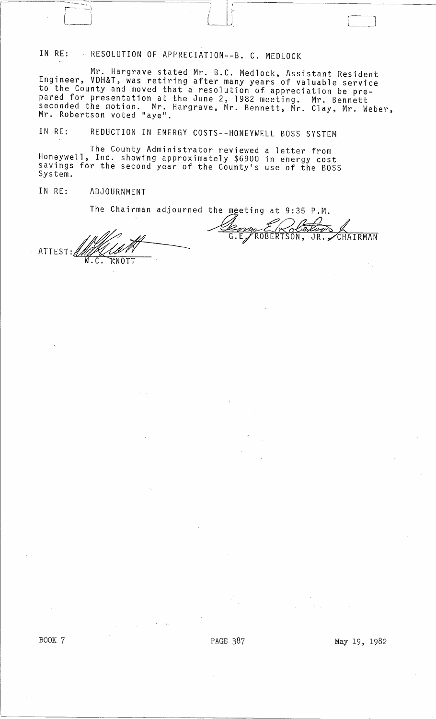IN RE: RESOLUTION OF APPRECIATION--B. C. MEDLOCK

 $\begin{pmatrix} 1 & 1 \\ 1 & 1 \end{pmatrix}$ 

Mr. Hargrave stated Mr. B.C. Medlock, Assistant Resident Engineer, VDH&T, was retiring after many years of valuable service to the County and moved that a resolution of appreciation be prepared for presentation at the June 2, 1982 meeting. Mr. Bennett seconded the motion. Mr. Hargrave, Mr. Bennett, Mr. Clay, Mr. Weber,<br>Mr. Robertson voted "aye".

1

<sup>i</sup>' I-------------------~

IN RE: REDUCTION IN ENERGY COSTS--HONEYWELL BOSS SYSTEM

The County Administrator reviewed a letter from Honeywell, Inc. showing approximately \$6900 in energy cost savings for the second year of the County's use of the BOSS System.

## IN RE: ADJOURNMENT

 $\overline{ }$ 

The Chairman adjourned the meeting at 9:35 P.M.<br>  $G.E. PROBERTSON, JR. JRAITNAN$ ATTEST:~ \fl.C. NOTT